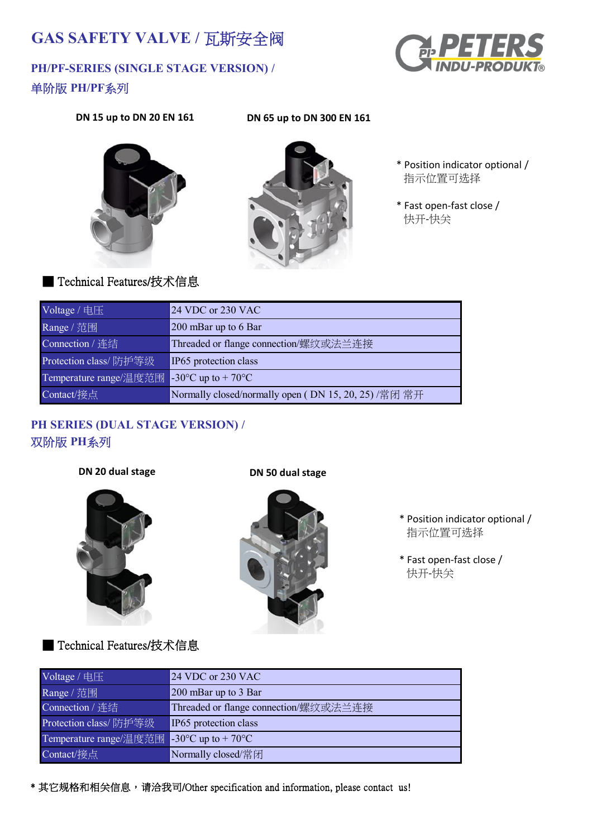# **GAS SAFETY VALVE /** 瓦斯安全阀

## **PH/PF-SERIES (SINGLE STAGE VERSION) /** 单阶版 **PH/PF**系列



#### **DN 15 up to DN 20 EN 161 DN 65 up to DN 300 EN 161**





- \* Position indicator optional / 指示位置可选择
- \* Fast open-fast close / 快开-快关

### ■ Technical Features/技术信息

| Voltage / 电压           | 24 VDC or 230 VAC                                        |
|------------------------|----------------------------------------------------------|
| Range / 范围             | 200 mBar up to 6 Bar                                     |
| Connection / 连结        | Threaded or flange connection/螺纹或法兰连接                    |
| Protection class/防护等级  | IP65 protection class                                    |
| Temperature range/温度范围 | -30 $\mathrm{^{\circ}C}$ up to + 70 $\mathrm{^{\circ}C}$ |
| Contact/接点             | Normally closed/normally open (DN 15, 20, 25) /常闭 常开     |

#### **PH SERIES (DUAL STAGE VERSION) /** 双阶版 **PH**系列

**DN 20 dual stage DN 50 dual stage**





- \* Position indicator optional / 指示位置可选择
- \* Fast open-fast close / 快开-快关

### ■ Technical Features/技术信息

| Voltage / 电压           | 24 VDC or 230 VAC                     |
|------------------------|---------------------------------------|
| Range / 范围             | 200 mBar up to 3 Bar                  |
| Connection / 连结        | Threaded or flange connection/螺纹或法兰连接 |
| Protection class/防护等级  | IP65 protection class                 |
| Temperature range/温度范围 | $-30^{\circ}$ C up to $+70^{\circ}$ C |
| Contact/接点             | Normally closed/常闭                    |

\* 其它规格和相关信息,请洽我司/Other specification and information, please contact us!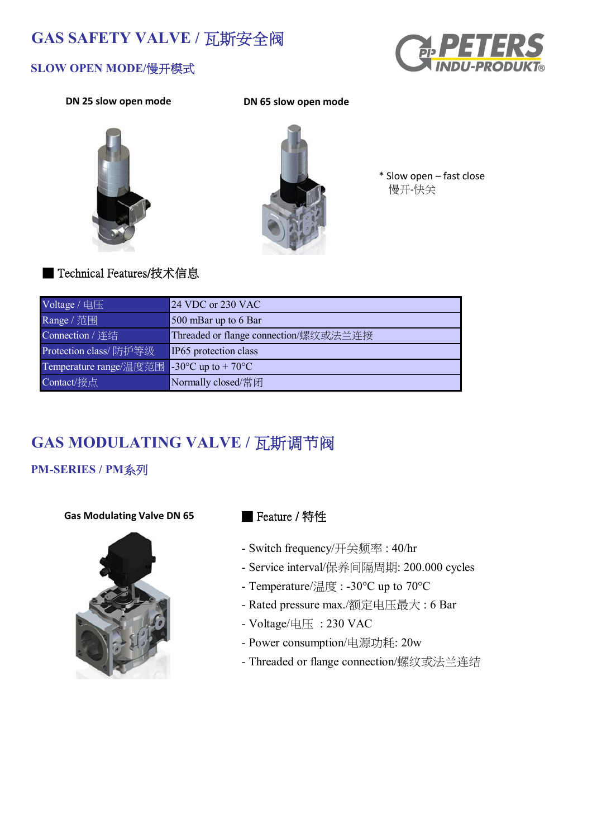## **GAS SAFETY VALVE /** 瓦斯安全阀



#### **SLOW OPEN MODE/**慢开模式

**DN 25 slow open mode DN 65 slow open mode**





\* Slow open – fast close 慢开-快关

#### ■ Technical Features/技术信息

| Voltage / 电压           | 24 VDC or 230 VAC                     |
|------------------------|---------------------------------------|
| Range / 范围             | 500 mBar up to 6 Bar                  |
| Connection / 连结        | Threaded or flange connection/螺纹或法兰连接 |
| Protection class/防护等级  | IP65 protection class                 |
| Temperature range/温度范围 | $-30^{\circ}$ C up to $+70^{\circ}$ C |
| Contact/接点             | Normally closed/常闭                    |

# **GAS MODULATING VALVE /** 瓦斯调节阀

## **PM-SERIES / PM**系列

#### **Gas Modulating Valve DN 65**



#### ■ Feature / 特性

- Switch frequency/开关频率 : 40/hr
- Service interval/保养间隔周期: 200.000 cycles
- Temperature/温度 : -30°C up to 70°C
- Rated pressure max./额定电压最大 : 6 Bar
- Voltage/电压 : 230 VAC
- Power consumption/电源功耗: 20w
- Threaded or flange connection/螺纹或法兰连结